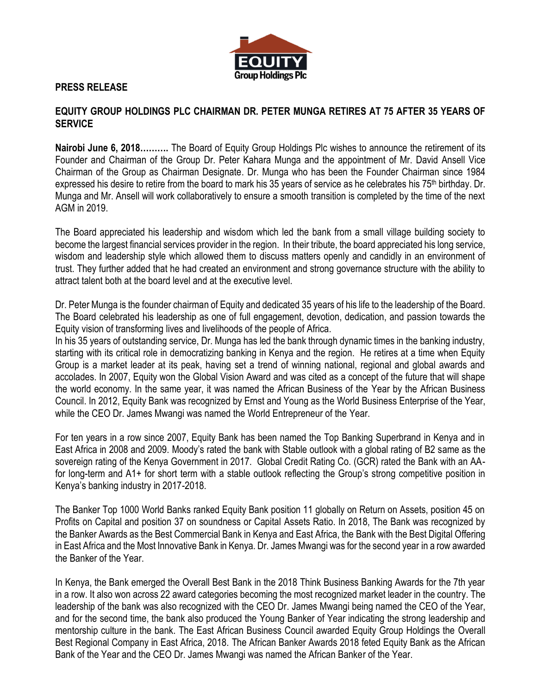

## **PRESS RELEASE**

## **EQUITY GROUP HOLDINGS PLC CHAIRMAN DR. PETER MUNGA RETIRES AT 75 AFTER 35 YEARS OF SERVICE**

**Nairobi June 6, 2018……….** The Board of Equity Group Holdings Plc wishes to announce the retirement of its Founder and Chairman of the Group Dr. Peter Kahara Munga and the appointment of Mr. David Ansell Vice Chairman of the Group as Chairman Designate. Dr. Munga who has been the Founder Chairman since 1984 expressed his desire to retire from the board to mark his 35 years of service as he celebrates his 75<sup>th</sup> birthday. Dr. Munga and Mr. Ansell will work collaboratively to ensure a smooth transition is completed by the time of the next AGM in 2019.

The Board appreciated his leadership and wisdom which led the bank from a small village building society to become the largest financial services provider in the region. In their tribute, the board appreciated his long service, wisdom and leadership style which allowed them to discuss matters openly and candidly in an environment of trust. They further added that he had created an environment and strong governance structure with the ability to attract talent both at the board level and at the executive level.

Dr. Peter Munga is the founder chairman of Equity and dedicated 35 years of his life to the leadership of the Board. The Board celebrated his leadership as one of full engagement, devotion, dedication, and passion towards the Equity vision of transforming lives and livelihoods of the people of Africa.

In his 35 years of outstanding service, Dr. Munga has led the bank through dynamic times in the banking industry, starting with its critical role in democratizing banking in Kenya and the region. He retires at a time when Equity Group is a market leader at its peak, having set a trend of winning national, regional and global awards and accolades. In 2007, Equity won the Global Vision Award and was cited as a concept of the future that will shape the world economy. In the same year, it was named the African Business of the Year by the African Business Council. In 2012, Equity Bank was recognized by Ernst and Young as the World Business Enterprise of the Year, while the CEO Dr. James Mwangi was named the World Entrepreneur of the Year.

For ten years in a row since 2007, Equity Bank has been named the Top Banking Superbrand in Kenya and in East Africa in 2008 and 2009. Moody's rated the bank with Stable outlook with a global rating of B2 same as the sovereign rating of the Kenya Government in 2017. Global Credit Rating Co. (GCR) rated the Bank with an AAfor long-term and A1+ for short term with a stable outlook reflecting the Group's strong competitive position in Kenya's banking industry in 2017-2018.

The Banker Top 1000 World Banks ranked Equity Bank position 11 globally on Return on Assets, position 45 on Profits on Capital and position 37 on soundness or Capital Assets Ratio. In 2018, The Bank was recognized by the Banker Awards as the Best Commercial Bank in Kenya and East Africa, the Bank with the Best Digital Offering in East Africa and the Most Innovative Bank in Kenya. Dr. James Mwangi was for the second year in a row awarded the Banker of the Year.

In Kenya, the Bank emerged the Overall Best Bank in the 2018 Think Business Banking Awards for the 7th year in a row. It also won across 22 award categories becoming the most recognized market leader in the country. The leadership of the bank was also recognized with the CEO Dr. James Mwangi being named the CEO of the Year, and for the second time, the bank also produced the Young Banker of Year indicating the strong leadership and mentorship culture in the bank. The East African Business Council awarded Equity Group Holdings the Overall Best Regional Company in East Africa, 2018. The African Banker Awards 2018 feted Equity Bank as the African Bank of the Year and the CEO Dr. James Mwangi was named the African Banker of the Year.